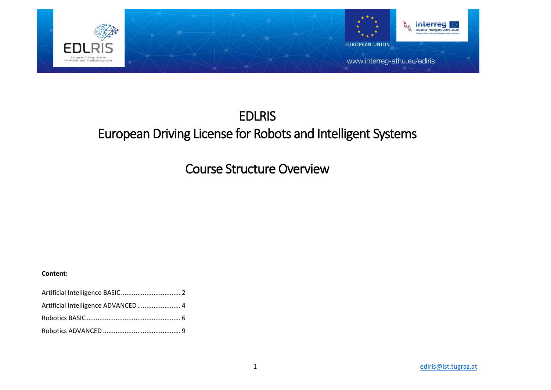

# EDLRIS European Driving License for Robots and Intelligent Systems

Course Structure Overview

### **Content:**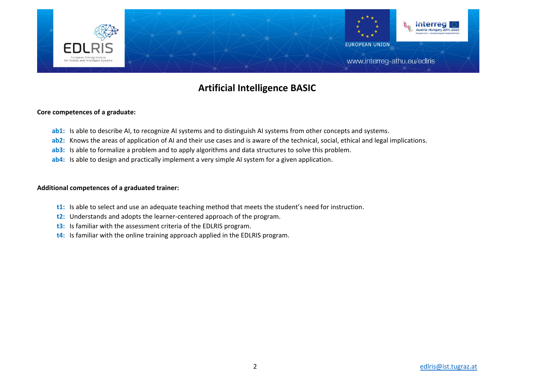

# **Artificial Intelligence BASIC**

#### **Core competences of a graduate:**

- **ab1:** Is able to describe AI, to recognize AI systems and to distinguish AI systems from other concepts and systems.
- **ab2:** Knows the areas of application of AI and their use cases and is aware of the technical, social, ethical and legal implications.
- **ab3:** Is able to formalize a problem and to apply algorithms and data structures to solve this problem.
- **ab4:** Is able to design and practically implement a very simple AI system for a given application.

- **t1:** Is able to select and use an adequate teaching method that meets the student's need for instruction.
- **t2:** Understands and adopts the learner-centered approach of the program.
- **t3:** Is familiar with the assessment criteria of the EDLRIS program.
- **t4:** Is familiar with the online training approach applied in the EDLRIS program.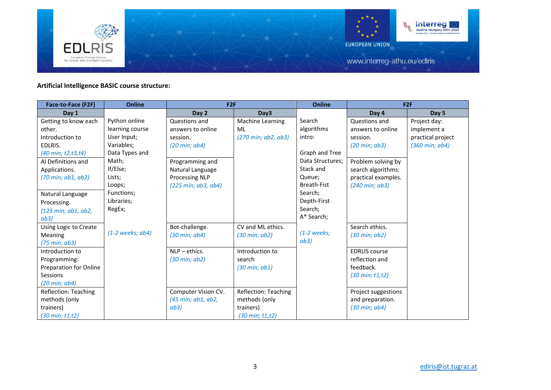

# **Artificial Intelligence BASIC course structure:**

| Face-to-Face (F2F)             | <b>Online</b>    | F <sub>2F</sub>                |                                | <b>Online</b>      | F2F                             |                                 |
|--------------------------------|------------------|--------------------------------|--------------------------------|--------------------|---------------------------------|---------------------------------|
| Day 1                          |                  | Day 2                          | Day3                           |                    | Day 4                           | Day 5                           |
| Getting to know each           | Python online    | Questions and                  | Machine Learning               | Search             | Questions and                   | Project day:                    |
| other.                         | learning course  | answers to online              | ML                             | algorithms         | answers to online               | implement a                     |
| Introduction to                | User Input;      | session.                       | (270 min; ab2, ab3)            | intro:             | session.                        | practical project               |
| EDLRIS.                        | Variables;       | $(20 \text{ min}; \text{ab4})$ |                                |                    | $(20 \text{ min}; \text{ab}3)$  | $(360 \text{ min}; \text{ab4})$ |
| (40 min; t2, t3, t4)           | Data Types and   |                                |                                | Graph and Tree     |                                 |                                 |
| AI Definitions and             | Math;            | Programming and                |                                | Data Structures;   | Problem solving by              |                                 |
| Applications.                  | If/Else;         | Natural Language               |                                | Stack and          | search algorithms:              |                                 |
| (70 min; ab1, ab2)             | Lists;           | <b>Processing NLP</b>          |                                | Queue;             | practical examples.             |                                 |
|                                | Loops;           | (225 min; ab3, ab4)            |                                | <b>Breath-Fist</b> | $(240 \text{ min}; \text{ab}3)$ |                                 |
| Natural Language               | Functions;       |                                |                                | Search;            |                                 |                                 |
| Processing.                    | Libraries;       |                                |                                | Depth-First        |                                 |                                 |
| (125 min; ab1, ab2,            | RegEx;           |                                |                                | Search;            |                                 |                                 |
| ab3)                           |                  |                                |                                | A* Search;         |                                 |                                 |
| Using Logic to Create          |                  | Bot-challenge.                 | CV and ML ethics.              |                    | Search ethics.                  |                                 |
| Meaning                        | (1-2 weeks; ab4) | $(30 \text{ min}; \text{ab4})$ | $(30 \text{ min}; \text{ab2})$ | $(1-2$ weeks;      | $(30 \text{ min}; \text{ab2})$  |                                 |
| (75 min; ab3)                  |                  |                                |                                | ab3)               |                                 |                                 |
| Introduction to                |                  | $NLP -$ ethics.                | Introduction to                |                    | <b>EDRLIS</b> course            |                                 |
| Programming:                   |                  | $(30 \text{ min}; \text{ab2})$ | search                         |                    | reflection and                  |                                 |
| <b>Preparation for Online</b>  |                  |                                | $(30 \text{ min}; \text{ab1})$ |                    | feedback.                       |                                 |
| Sessions                       |                  |                                |                                |                    | $(30 \text{ min}; t1, t2)$      |                                 |
| $(20 \text{ min}; \text{ab4})$ |                  |                                |                                |                    |                                 |                                 |
| Reflection: Teaching           |                  | Computer Vision CV.            | Reflection: Teaching           |                    | Project suggestions             |                                 |
| methods (only                  |                  | (45 min; ab1, ab2,             | methods (only                  |                    | and preparation.                |                                 |
| trainers)                      |                  | ab3)                           | trainers)                      |                    | $(30 \text{ min}; \text{ab4})$  |                                 |
| $(30 \text{ min}; t1, t2)$     |                  |                                | $(30 \text{ min}; t1, t2)$     |                    |                                 |                                 |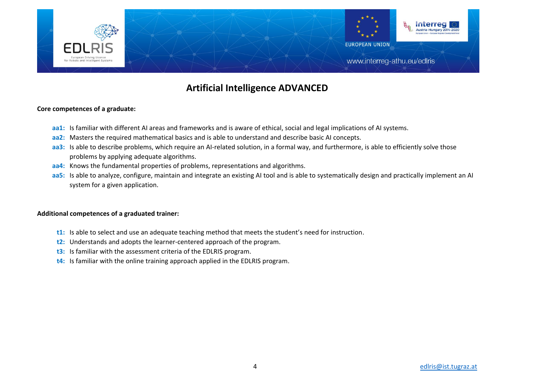

# **Artificial Intelligence ADVANCED**

### **Core competences of a graduate:**

- **aa1:** Is familiar with different AI areas and frameworks and is aware of ethical, social and legal implications of AI systems.
- **aa2:** Masters the required mathematical basics and is able to understand and describe basic AI concepts.
- **aa3:** Is able to describe problems, which require an AI-related solution, in a formal way, and furthermore, is able to efficiently solve those problems by applying adequate algorithms.
- **aa4:** Knows the fundamental properties of problems, representations and algorithms.
- **aa5:** Is able to analyze, configure, maintain and integrate an existing AI tool and is able to systematically design and practically implement an AI system for a given application.

- **t1:** Is able to select and use an adequate teaching method that meets the student's need for instruction.
- **t2:** Understands and adopts the learner-centered approach of the program.
- **t3:** Is familiar with the assessment criteria of the EDLRIS program.
- **t4:** Is familiar with the online training approach applied in the EDLRIS program.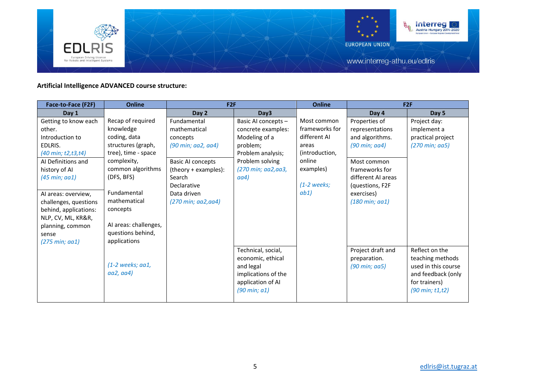

# **Artificial Intelligence ADVANCED course structure:**

| Face-to-Face (F2F)              | Online                | F2F                      |                                                     | Online         | F2F                             |                                             |
|---------------------------------|-----------------------|--------------------------|-----------------------------------------------------|----------------|---------------------------------|---------------------------------------------|
| Day 1                           |                       | Day 2                    | Day3                                                |                | Day 4                           | Day 5                                       |
| Getting to know each            | Recap of required     | Fundamental              | Basic AI concepts -                                 | Most common    | Properties of                   | Project day:                                |
| other.                          | knowledge             | mathematical             | concrete examples:                                  | frameworks for | representations                 | implement a                                 |
| Introduction to                 | coding, data          | concepts                 | Modeling of a                                       | different AI   | and algorithms.                 | practical project                           |
| EDLRIS.                         | structures (graph,    | (90 min; aa2, aa4)       | problem;                                            | areas          | (90 min; aa4)                   | $(270 \text{ min}; \text{ aa}5)$            |
| (40 min; t2, t3, t4)            | tree), time - space   |                          | Problem analysis;                                   | (introduction, |                                 |                                             |
| AI Definitions and              | complexity,           | <b>Basic AI concepts</b> | Problem solving                                     | online         | Most common                     |                                             |
| history of AI                   | common algorithms     | (theory + examples):     | (270 min; aa2, aa3,                                 | examples)      | frameworks for                  |                                             |
| $(45 \text{ min}; \text{aa1})$  | (DFS, BFS)            | Search                   | aa4)                                                |                | different AI areas              |                                             |
|                                 |                       | Declarative              |                                                     | $(1-2$ weeks;  | (questions, F2F)                |                                             |
| Al areas: overview,             | Fundamental           | Data driven              |                                                     | ab1)           | exercises)                      |                                             |
| challenges, questions           | mathematical          | (270 min; aa2,aa4)       |                                                     |                | $(180 \text{ min}; \text{aa1})$ |                                             |
| behind, applications:           | concepts              |                          |                                                     |                |                                 |                                             |
| NLP, CV, ML, KR&R,              |                       |                          |                                                     |                |                                 |                                             |
| planning, common                | AI areas: challenges, |                          |                                                     |                |                                 |                                             |
| sense                           | questions behind,     |                          |                                                     |                |                                 |                                             |
| $(275 \text{ min}; \text{aa1})$ | applications          |                          |                                                     |                |                                 |                                             |
|                                 |                       |                          | Technical, social,                                  |                | Project draft and               | Reflect on the                              |
|                                 | $(1-2$ weeks; aa1,    |                          | economic, ethical                                   |                | preparation.                    | teaching methods<br>used in this course     |
|                                 | aa2, aa4)             |                          | and legal                                           |                | (90 min; aa5)                   |                                             |
|                                 |                       |                          | implications of the                                 |                |                                 | and feedback (only                          |
|                                 |                       |                          | application of AI<br>$(90 \text{ min}; \text{ a1})$ |                |                                 | for trainers)<br>$(90 \text{ min}; t1, t2)$ |
|                                 |                       |                          |                                                     |                |                                 |                                             |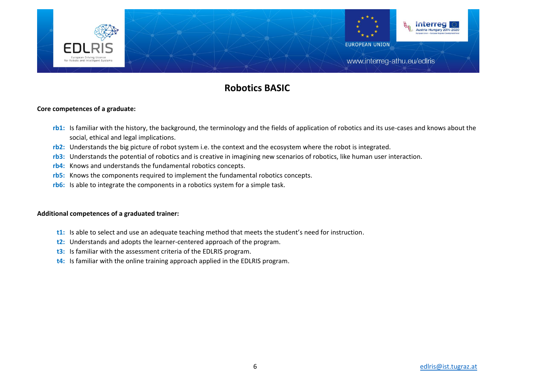

# **Robotics BASIC**

### **Core competences of a graduate:**

- **rb1:** Is familiar with the history, the background, the terminology and the fields of application of robotics and its use-cases and knows about the social, ethical and legal implications.
- **rb2:** Understands the big picture of robot system i.e. the context and the ecosystem where the robot is integrated.
- **rb3:** Understands the potential of robotics and is creative in imagining new scenarios of robotics, like human user interaction.
- **rb4:** Knows and understands the fundamental robotics concepts.
- **rb5:** Knows the components required to implement the fundamental robotics concepts.
- **rb6:** Is able to integrate the components in a robotics system for a simple task.

- **t1:** Is able to select and use an adequate teaching method that meets the student's need for instruction.
- **t2:** Understands and adopts the learner-centered approach of the program.
- **t3:** Is familiar with the assessment criteria of the EDLRIS program.
- **t4:** Is familiar with the online training approach applied in the EDLRIS program.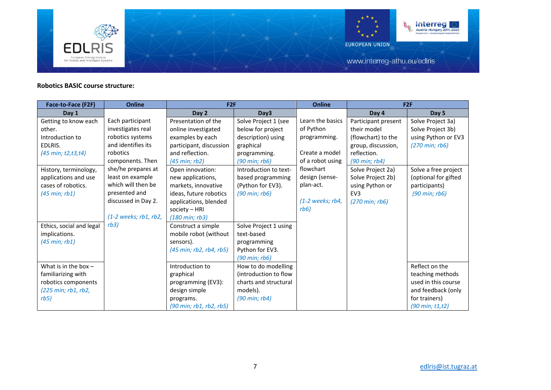

# **Robotics BASIC course structure:**

| Face-to-Face (F2F)                                                                                                                                                            | <b>Online</b>                                                                                                                           | F2F                                                                                                                                                                                                                                                   |                                                                                                                                                                                                       | <b>Online</b>                                                          | F2F                                                                                                             |                                                                                                                                |
|-------------------------------------------------------------------------------------------------------------------------------------------------------------------------------|-----------------------------------------------------------------------------------------------------------------------------------------|-------------------------------------------------------------------------------------------------------------------------------------------------------------------------------------------------------------------------------------------------------|-------------------------------------------------------------------------------------------------------------------------------------------------------------------------------------------------------|------------------------------------------------------------------------|-----------------------------------------------------------------------------------------------------------------|--------------------------------------------------------------------------------------------------------------------------------|
| Day 1                                                                                                                                                                         |                                                                                                                                         | Day 2                                                                                                                                                                                                                                                 | Day3                                                                                                                                                                                                  |                                                                        | Day 4                                                                                                           | Day 5                                                                                                                          |
| Getting to know each                                                                                                                                                          | Each participant                                                                                                                        | Presentation of the                                                                                                                                                                                                                                   | Solve Project 1 (see                                                                                                                                                                                  | Learn the basics                                                       | Participant present                                                                                             | Solve Project 3a)                                                                                                              |
| other.                                                                                                                                                                        | investigates real                                                                                                                       | online investigated                                                                                                                                                                                                                                   | below for project                                                                                                                                                                                     | of Python                                                              | their model                                                                                                     | Solve Project 3b)                                                                                                              |
| Introduction to                                                                                                                                                               | robotics systems                                                                                                                        | examples by each                                                                                                                                                                                                                                      | description) using                                                                                                                                                                                    | programming.                                                           | (flowchart) to the                                                                                              | using Python or EV3                                                                                                            |
| EDLRIS.                                                                                                                                                                       | and identifies its                                                                                                                      | participant, discussion                                                                                                                                                                                                                               | graphical                                                                                                                                                                                             |                                                                        | group, discussion,                                                                                              | $(270 \text{ min}; rb6)$                                                                                                       |
| (45 min; t2, t3, t4)                                                                                                                                                          | robotics                                                                                                                                | and reflection.                                                                                                                                                                                                                                       | programming.                                                                                                                                                                                          | Create a model                                                         | reflection.                                                                                                     |                                                                                                                                |
|                                                                                                                                                                               | components. Then                                                                                                                        | (45 min; rb2)                                                                                                                                                                                                                                         | $(90 \text{ min}; \text{rb6})$                                                                                                                                                                        | of a robot using                                                       | $(90 \text{ min}; \text{rb4})$                                                                                  |                                                                                                                                |
| History, terminology,<br>applications and use<br>cases of robotics.<br>$(45 \text{ min}; \text{rb1})$<br>Ethics, social and legal<br>implications.<br>$(45 \text{ min}; rb1)$ | she/he prepares at<br>least on example<br>which will then be<br>presented and<br>discussed in Day 2.<br>$(1-2$ weeks; rb1, rb2,<br>rb3) | Open innovation:<br>new applications,<br>markets, innovative<br>ideas, future robotics<br>applications, blended<br>society $-$ HRI<br>$(180 \text{ min}; rb3)$<br>Construct a simple<br>mobile robot (without<br>sensors).<br>(45 min; rb2, rb4, rb5) | Introduction to text-<br>based programming<br>(Python for EV3).<br>$(90 \text{ min}; rb6)$<br>Solve Project 1 using<br>text-based<br>programming<br>Python for EV3.<br>$(90 \text{ min}; \text{rb6})$ | flowchart<br>design (sense-<br>plan-act.<br>$(1-2$ weeks; rb4,<br>rb6) | Solve Project 2a)<br>Solve Project 2b)<br>using Python or<br>EV <sub>3</sub><br>$(270 \text{ min}; \text{rb6})$ | Solve a free project<br>(optional for gifted<br>participants)<br>$(90 \text{ min}; rb6)$                                       |
| What is in the box $-$<br>familiarizing with<br>robotics components<br>(225 min; rb1, rb2,<br>rb5)                                                                            |                                                                                                                                         | Introduction to<br>graphical<br>programming (EV3):<br>design simple<br>programs.<br>$(90 \text{ min}; \text{rb1}, \text{rb2}, \text{rb5})$                                                                                                            | How to do modelling<br>(introduction to flow<br>charts and structural<br>models).<br>$(90 \text{ min}; \text{rb4})$                                                                                   |                                                                        |                                                                                                                 | Reflect on the<br>teaching methods<br>used in this course<br>and feedback (only<br>for trainers)<br>$(90 \text{ min}; t1, t2)$ |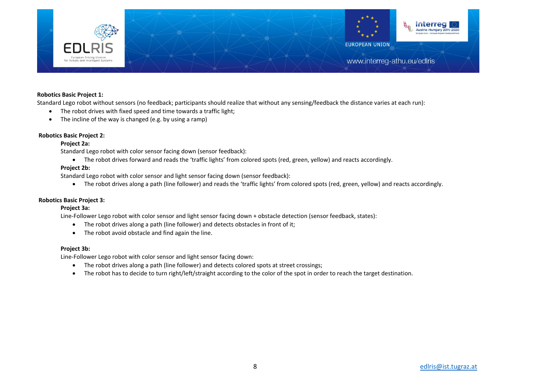

#### **Robotics Basic Project 1:**

Standard Lego robot without sensors (no feedback; participants should realize that without any sensing/feedback the distance varies at each run):

- The robot drives with fixed speed and time towards a traffic light;
- The incline of the way is changed (e.g. by using a ramp)

#### **Robotics Basic Project 2:**

#### **Project 2a:**

Standard Lego robot with color sensor facing down (sensor feedback):

The robot drives forward and reads the 'traffic lights' from colored spots (red, green, yellow) and reacts accordingly.

#### **Project 2b:**

Standard Lego robot with color sensor and light sensor facing down (sensor feedback):

The robot drives along a path (line follower) and reads the 'traffic lights' from colored spots (red, green, yellow) and reacts accordingly.

#### **Robotics Basic Project 3:**

#### **Project 3a:**

Line-Follower Lego robot with color sensor and light sensor facing down + obstacle detection (sensor feedback, states):

- The robot drives along a path (line follower) and detects obstacles in front of it;
- The robot avoid obstacle and find again the line.

#### **Project 3b:**

Line-Follower Lego robot with color sensor and light sensor facing down:

- The robot drives along a path (line follower) and detects colored spots at street crossings;
- The robot has to decide to turn right/left/straight according to the color of the spot in order to reach the target destination.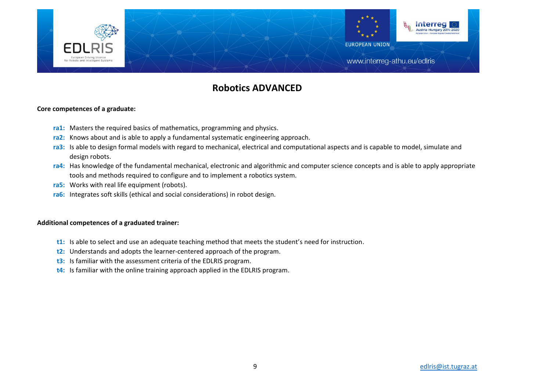

# **Robotics ADVANCED**

### **Core competences of a graduate:**

- **ra1:** Masters the required basics of mathematics, programming and physics.
- **ra2:** Knows about and is able to apply a fundamental systematic engineering approach.
- **ra3:** Is able to design formal models with regard to mechanical, electrical and computational aspects and is capable to model, simulate and design robots.
- **ra4:** Has knowledge of the fundamental mechanical, electronic and algorithmic and computer science concepts and is able to apply appropriate tools and methods required to configure and to implement a robotics system.
- **ra5:** Works with real life equipment (robots).
- **ra6:** Integrates soft skills (ethical and social considerations) in robot design.

- **t1:** Is able to select and use an adequate teaching method that meets the student's need for instruction.
- **t2:** Understands and adopts the learner-centered approach of the program.
- **t3:** Is familiar with the assessment criteria of the EDLRIS program.
- **t4:** Is familiar with the online training approach applied in the EDLRIS program.